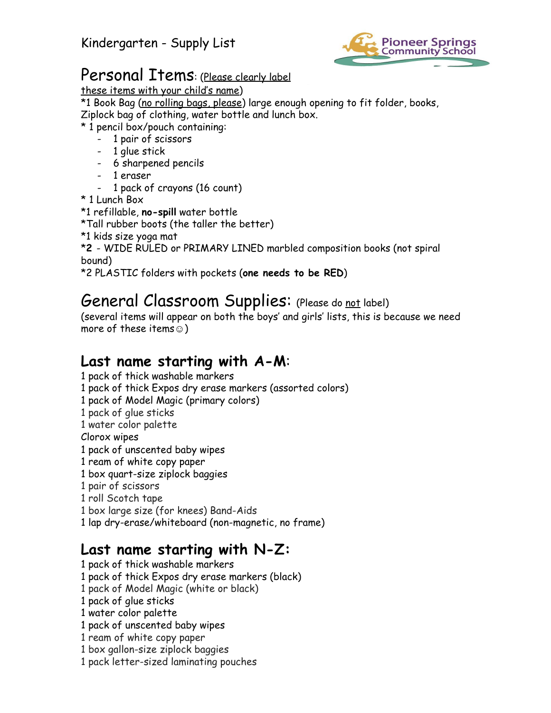

## Personal Items: (Please clearly label

these items with your child's name)

\*1 Book Bag (no rolling bags, please) large enough opening to fit folder, books, Ziplock bag of clothing, water bottle and lunch box.

\* 1 pencil box/pouch containing:

- 1 pair of scissors
- 1 glue stick
- 6 sharpened pencils
- 1 eraser
	- 1 pack of crayons (16 count)
- \* 1 Lunch Box
- \*1 refillable, **no-spill** water bottle

\*Tall rubber boots (the taller the better)

\*1 kids size yoga mat

\***2** - WIDE RULED or PRIMARY LINED marbled composition books (not spiral bound)

\*2 PLASTIC folders with pockets (**one needs to be RED**)

## General Classroom Supplies: (Please do not label)

(several items will appear on both the boys' and girls' lists, this is because we need more of these items $\circledcirc$ )

## **Last name starting with A-M**:

- 1 pack of thick washable markers
- 1 pack of thick Expos dry erase markers (assorted colors)
- 1 pack of Model Magic (primary colors)
- 1 pack of glue sticks
- 1 water color palette
- Clorox wipes
- 1 pack of unscented baby wipes
- 1 ream of white copy paper
- 1 box quart-size ziplock baggies
- 1 pair of scissors
- 1 roll Scotch tape
- 1 box large size (for knees) Band-Aids

1 lap dry-erase/whiteboard (non-magnetic, no frame)

## **Last name starting with N-Z:**

- 1 pack of thick washable markers 1 pack of thick Expos dry erase markers (black) 1 pack of Model Magic (white or black) 1 pack of glue sticks 1 water color palette
- 1 pack of unscented baby wipes
- 1 ream of white copy paper
- 1 box gallon-size ziplock baggies
- 1 pack letter-sized laminating pouches